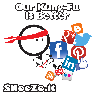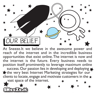

At Sneeze.It we believe in the awesome power and reach of the internet and in the incredible business opportunities that exist online. The internet is now and the internet is the future. Every business needs to position itself prominently to leverage maximum online

success. Our passion lies in developing and deploying the very best Internet Marketing strategies for our clients to locate, engage and motivate customers in the  $\bigstar$ 

vast space of the internet.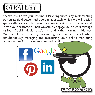

Sneeze.It will drive your Internet Marketing success by implementing our strategic 4-stage methodology approach, which we will design specifically for your business. First we target your prospects and locate your customers. Then we actively engage your clients through various Social Media platforms and other online initiatives. We complement that by motivating your audiences, all while simultaneously managing and measuring your online marketing opportunities for maximum sales and profit.

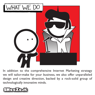

In addition to the comprehensive Internet Marketing strategy we will tailor-make for your business, we also offer unparalleled design and creative direction, backed by a rock-solid group of technologically innovative minds.

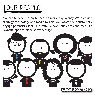## OUR PEOPLE

We are Sneeze.It, a digital-centric marketing agency. We combine strategy, technology and media to help you locate your customers, engage potential clients, motivate relevant audiences and measure revenue opportunities at every stage.

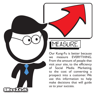

## MEASURE

Our Kung-Fu is better because we measure EVERYTHING. From the amount of people that visit your site, to the efficiency of Social Media Marketing, to the cost of converting a prospect into a customer. We use this information to help make decisions that will guide us to your success.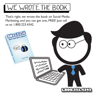

That's right, we wrote the book on Social Media Marketing, and you can get one, FREE! Just call us at: 1.800.223.4342.